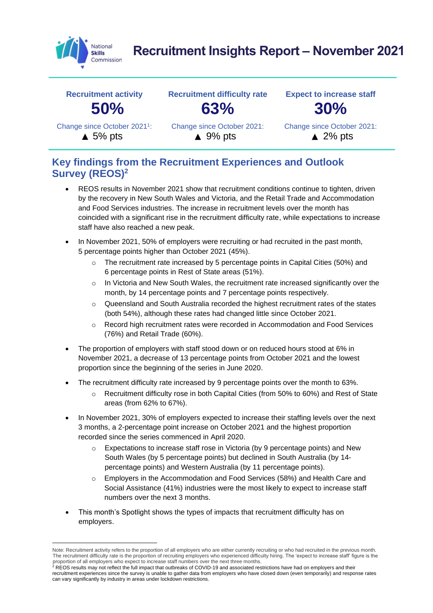

# **Recruitment Insights Report – November 2021**



### **Key findings from the Recruitment Experiences and Outlook Survey (REOS)<sup>2</sup>**

- REOS results in November 2021 show that recruitment conditions continue to tighten, driven by the recovery in New South Wales and Victoria, and the Retail Trade and Accommodation and Food Services industries. The increase in recruitment levels over the month has coincided with a significant rise in the recruitment difficulty rate, while expectations to increase staff have also reached a new peak.
- In November 2021, 50% of employers were recruiting or had recruited in the past month, 5 percentage points higher than October 2021 (45%).
	- $\circ$  The recruitment rate increased by 5 percentage points in Capital Cities (50%) and 6 percentage points in Rest of State areas (51%).
	- o In Victoria and New South Wales, the recruitment rate increased significantly over the month, by 14 percentage points and 7 percentage points respectively.
	- $\circ$  Queensland and South Australia recorded the highest recruitment rates of the states (both 54%), although these rates had changed little since October 2021.
	- o Record high recruitment rates were recorded in Accommodation and Food Services (76%) and Retail Trade (60%).
- The proportion of employers with staff stood down or on reduced hours stood at 6% in November 2021, a decrease of 13 percentage points from October 2021 and the lowest proportion since the beginning of the series in June 2020.
- The recruitment difficulty rate increased by 9 percentage points over the month to 63%.
	- o Recruitment difficulty rose in both Capital Cities (from 50% to 60%) and Rest of State areas (from 62% to 67%).
- In November 2021, 30% of employers expected to increase their staffing levels over the next 3 months, a 2-percentage point increase on October 2021 and the highest proportion recorded since the series commenced in April 2020.
	- $\circ$  Expectations to increase staff rose in Victoria (by 9 percentage points) and New South Wales (by 5 percentage points) but declined in South Australia (by 14 percentage points) and Western Australia (by 11 percentage points).
	- o Employers in the Accommodation and Food Services (58%) and Health Care and Social Assistance (41%) industries were the most likely to expect to increase staff numbers over the next 3 months.
- This month's Spotlight shows the types of impacts that recruitment difficulty has on employers.

Note: Recruitment activity refers to the proportion of all employers who are either currently recruiting or who had recruited in the previous month. The recruitment difficulty rate is the proportion of recruiting employers who experienced difficulty hiring. The 'expect to increase staff' figure is the proportion of all employers who expect to increase staff numbers over the next three months.<br><sup>2</sup> REOS results may not reflect the full impact that outbreaks of COVID-19 and associated restrictions have had on employers and

recruitment experiences since the survey is unable to gather data from employers who have closed down (even temporarily) and response rates can vary significantly by industry in areas under lockdown restrictions.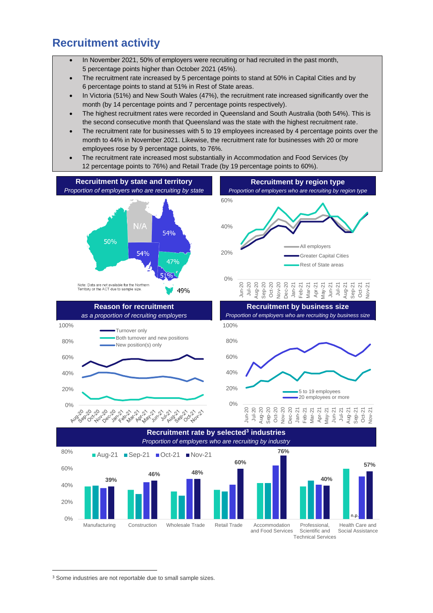### **Recruitment activity**

- In November 2021, 50% of employers were recruiting or had recruited in the past month, 5 percentage points higher than October 2021 (45%).
- The recruitment rate increased by 5 percentage points to stand at 50% in Capital Cities and by 6 percentage points to stand at 51% in Rest of State areas.
- In Victoria (51%) and New South Wales (47%), the recruitment rate increased significantly over the month (by 14 percentage points and 7 percentage points respectively).
- The highest recruitment rates were recorded in Queensland and South Australia (both 54%). This is the second consecutive month that Queensland was the state with the highest recruitment rate.
- The recruitment rate for businesses with 5 to 19 employees increased by 4 percentage points over the month to 44% in November 2021. Likewise, the recruitment rate for businesses with 20 or more employees rose by 9 percentage points, to 76%.
- The recruitment rate increased most substantially in Accommodation and Food Services (by 12 percentage points to 76%) and Retail Trade (by 19 percentage points to 60%).



Technical Services

<sup>&</sup>lt;sup>3</sup> Some industries are not reportable due to small sample sizes.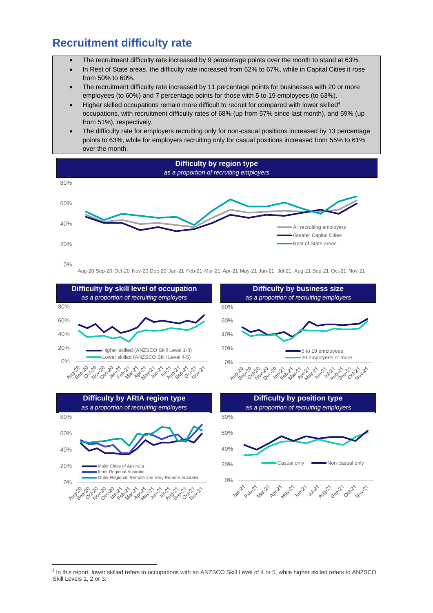### **Recruitment difficulty rate**

0%

وهي مي شهره كاره من موسم موسم مي مي به من من من من من من .<br>من من من الله الله عن الله عن الله الله عن الله عن الله عن الله عن الله عن الله عن الله عن الله عن الله عن الل

- The recruitment difficulty rate increased by 9 percentage points over the month to stand at 63%.
- In Rest of State areas, the difficulty rate increased from 62% to 67%, while in Capital Cities it rose from 50% to 60%.
- The recruitment difficulty rate increased by 11 percentage points for businesses with 20 or more employees (to 60%) and 7 percentage points for those with 5 to 19 employees (to 63%).
- Higher skilled occupations remain more difficult to recruit for compared with lower skilled<sup>4</sup> occupations, with recruitment difficulty rates of 68% (up from 57% since last month), and 59% (up from 51%), respectively.
- The difficulty rate for employers recruiting only for non-casual positions increased by 13 percentage points to 63%, while for employers recruiting only for casual positions increased from 55% to 61% over the month.





<sup>4</sup> In this report, lower skilled refers to occupations with an ANZSCO Skill Level of 4 or 5, while higher skilled refers to ANZSCO Skill Levels 1, 2 or 3.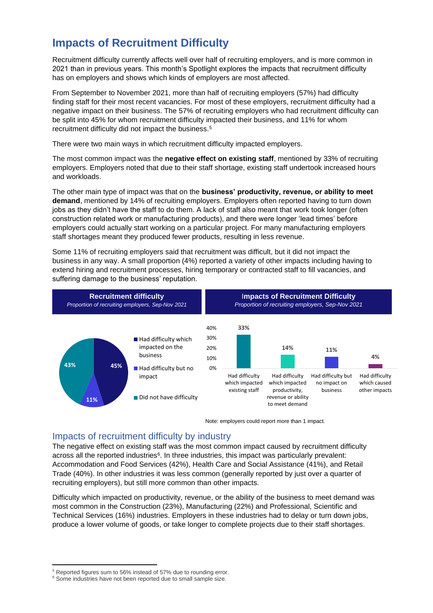## **Impacts of Recruitment Difficulty**

Recruitment difficulty currently affects well over half of recruiting employers, and is more common in 2021 than in previous years. This month's Spotlight explores the impacts that recruitment difficulty has on employers and shows which kinds of employers are most affected.

From September to November 2021, more than half of recruiting employers (57%) had difficulty finding staff for their most recent vacancies. For most of these employers, recruitment difficulty had a negative impact on their business. The 57% of recruiting employers who had recruitment difficulty can be split into 45% for whom recruitment difficulty impacted their business, and 11% for whom recruitment difficulty did not impact the business.<sup>5</sup>

There were two main ways in which recruitment difficulty impacted employers.

The most common impact was the **negative effect on existing staff**, mentioned by 33% of recruiting employers. Employers noted that due to their staff shortage, existing staff undertook increased hours and workloads.

The other main type of impact was that on the **business' productivity, revenue, or ability to meet demand**, mentioned by 14% of recruiting employers. Employers often reported having to turn down jobs as they didn't have the staff to do them. A lack of staff also meant that work took longer (often construction related work or manufacturing products), and there were longer 'lead times' before employers could actually start working on a particular project. For many manufacturing employers staff shortages meant they produced fewer products, resulting in less revenue.

Some 11% of recruiting employers said that recruitment was difficult, but it did not impact the business in any way. A small proportion (4%) reported a variety of other impacts including having to extend hiring and recruitment processes, hiring temporary or contracted staff to fill vacancies, and suffering damage to the business' reputation.



Note: employers could report more than 1 impact.

#### Impacts of recruitment difficulty by industry

The negative effect on existing staff was the most common impact caused by recruitment difficulty across all the reported industries<sup>6</sup>. In three industries, this impact was particularly prevalent: Accommodation and Food Services (42%), Health Care and Social Assistance (41%), and Retail Trade (40%). In other industries it was less common (generally reported by just over a quarter of recruiting employers), but still more common than other impacts.

Difficulty which impacted on productivity, revenue, or the ability of the business to meet demand was most common in the Construction (23%), Manufacturing (22%) and Professional, Scientific and Technical Services (16%) industries. Employers in these industries had to delay or turn down jobs, produce a lower volume of goods, or take longer to complete projects due to their staff shortages.

<sup>&</sup>lt;sup>5</sup> Reported figures sum to 56% instead of 57% due to rounding error.

<sup>&</sup>lt;sup>6</sup> Some industries have not been reported due to small sample size.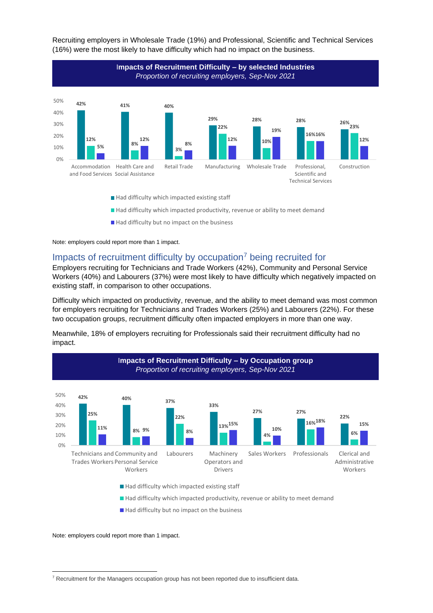

Recruiting employers in Wholesale Trade (19%) and Professional, Scientific and Technical Services (16%) were the most likely to have difficulty which had no impact on the business.

- $\blacksquare$  Had difficulty which impacted existing staff
- Had difficulty which impacted productivity, revenue or ability to meet demand
- $\blacksquare$  Had difficulty but no impact on the business

Note: employers could report more than 1 impact.

#### Impacts of recruitment difficulty by occupation<sup>7</sup> being recruited for

Employers recruiting for Technicians and Trade Workers (42%), Community and Personal Service Workers (40%) and Labourers (37%) were most likely to have difficulty which negatively impacted on existing staff, in comparison to other occupations.

Difficulty which impacted on productivity, revenue, and the ability to meet demand was most common for employers recruiting for Technicians and Trades Workers (25%) and Labourers (22%). For these two occupation groups, recruitment difficulty often impacted employers in more than one way.

Meanwhile, 18% of employers recruiting for Professionals said their recruitment difficulty had no impact.



 $\blacksquare$  Had difficulty which impacted existing staff

Had difficulty which impacted productivity, revenue or ability to meet demand

Had difficulty but no impact on the business

Note: employers could report more than 1 impact.

<sup>&</sup>lt;sup>7</sup> Recruitment for the Managers occupation group has not been reported due to insufficient data.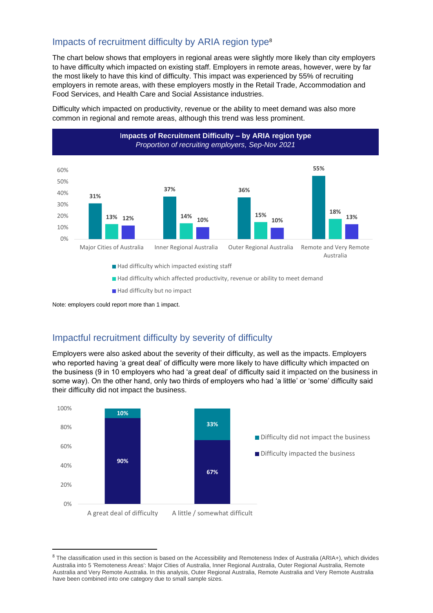### Impacts of recruitment difficulty by ARIA region type<sup>8</sup>

The chart below shows that employers in regional areas were slightly more likely than city employers to have difficulty which impacted on existing staff. Employers in remote areas, however, were by far the most likely to have this kind of difficulty. This impact was experienced by 55% of recruiting employers in remote areas, with these employers mostly in the Retail Trade, Accommodation and Food Services, and Health Care and Social Assistance industries.

Difficulty which impacted on productivity, revenue or the ability to meet demand was also more common in regional and remote areas, although this trend was less prominent.



- Had difficulty which affected productivity, revenue or ability to meet demand
- Had difficulty but no impact

Note: employers could report more than 1 impact.

### Impactful recruitment difficulty by severity of difficulty

Employers were also asked about the severity of their difficulty, as well as the impacts. Employers who reported having 'a great deal' of difficulty were more likely to have difficulty which impacted on the business (9 in 10 employers who had 'a great deal' of difficulty said it impacted on the business in some way). On the other hand, only two thirds of employers who had 'a little' or 'some' difficulty said their difficulty did not impact the business.



<sup>8</sup> The classification used in this section is based on the Accessibility and Remoteness Index of Australia (ARIA+), which divides Australia into 5 'Remoteness Areas': Major Cities of Australia, Inner Regional Australia, Outer Regional Australia, Remote Australia and Very Remote Australia. In this analysis, Outer Regional Australia, Remote Australia and Very Remote Australia have been combined into one category due to small sample sizes.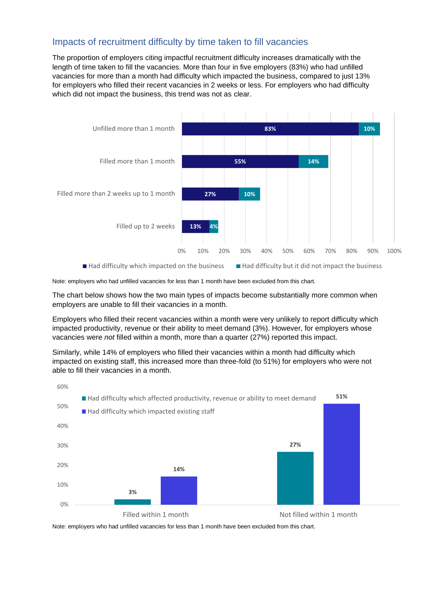#### Impacts of recruitment difficulty by time taken to fill vacancies

The proportion of employers citing impactful recruitment difficulty increases dramatically with the length of time taken to fill the vacancies. More than four in five employers (83%) who had unfilled vacancies for more than a month had difficulty which impacted the business, compared to just 13% for employers who filled their recent vacancies in 2 weeks or less. For employers who had difficulty which did not impact the business, this trend was not as clear.



Note: employers who had unfilled vacancies for less than 1 month have been excluded from this chart.

The chart below shows how the two main types of impacts become substantially more common when employers are unable to fill their vacancies in a month.

Employers who filled their recent vacancies within a month were very unlikely to report difficulty which impacted productivity, revenue or their ability to meet demand (3%). However, for employers whose vacancies were *not* filled within a month, more than a quarter (27%) reported this impact.

Similarly, while 14% of employers who filled their vacancies within a month had difficulty which impacted on existing staff, this increased more than three-fold (to 51%) for employers who were not able to fill their vacancies in a month.



Note: employers who had unfilled vacancies for less than 1 month have been excluded from this chart.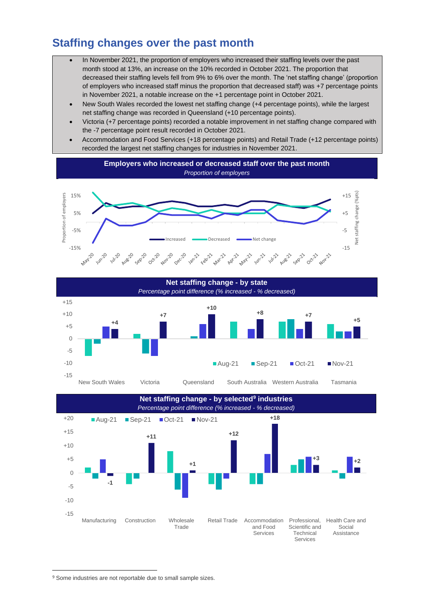### **Staffing changes over the past month**

- In November 2021, the proportion of employers who increased their staffing levels over the past month stood at 13%, an increase on the 10% recorded in October 2021. The proportion that decreased their staffing levels fell from 9% to 6% over the month. The 'net staffing change' (proportion of employers who increased staff minus the proportion that decreased staff) was +7 percentage points in November 2021, a notable increase on the +1 percentage point in October 2021.
- New South Wales recorded the lowest net staffing change (+4 percentage points), while the largest net staffing change was recorded in Queensland (+10 percentage points).
- Victoria (+7 percentage points) recorded a notable improvement in net staffing change compared with the -7 percentage point result recorded in October 2021.
- Accommodation and Food Services (+18 percentage points) and Retail Trade (+12 percentage points) recorded the largest net staffing changes for industries in November 2021.







<sup>&</sup>lt;sup>9</sup> Some industries are not reportable due to small sample sizes.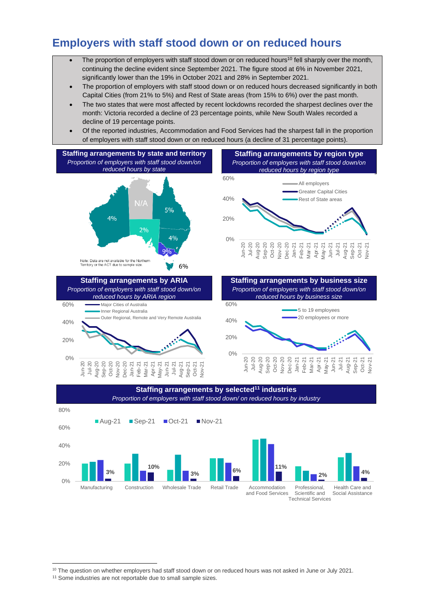### **Employers with staff stood down or on reduced hours**

- The proportion of employers with staff stood down or on reduced hours<sup>10</sup> fell sharply over the month, continuing the decline evident since September 2021. The figure stood at 6% in November 2021, significantly lower than the 19% in October 2021 and 28% in September 2021.
- The proportion of employers with staff stood down or on reduced hours decreased significantly in both Capital Cities (from 21% to 5%) and Rest of State areas (from 15% to 6%) over the past month.
- The two states that were most affected by recent lockdowns recorded the sharpest declines over the month: Victoria recorded a decline of 23 percentage points, while New South Wales recorded a decline of 19 percentage points.
- Of the reported industries, Accommodation and Food Services had the sharpest fall in the proportion of employers with staff stood down or on reduced hours (a decline of 31 percentage points).









<sup>&</sup>lt;sup>10</sup> The question on whether employers had staff stood down or on reduced hours was not asked in June or July 2021.

<sup>&</sup>lt;sup>11</sup> Some industries are not reportable due to small sample sizes.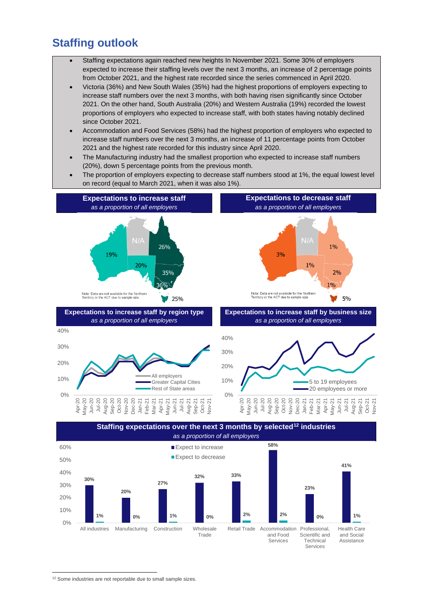### **Staffing outlook**

- Staffing expectations again reached new heights In November 2021. Some 30% of employers expected to increase their staffing levels over the next 3 months, an increase of 2 percentage points from October 2021, and the highest rate recorded since the series commenced in April 2020.
- Victoria (36%) and New South Wales (35%) had the highest proportions of employers expecting to increase staff numbers over the next 3 months, with both having risen significantly since October 2021. On the other hand, South Australia (20%) and Western Australia (19%) recorded the lowest proportions of employers who expected to increase staff, with both states having notably declined since October 2021.
- Accommodation and Food Services (58%) had the highest proportion of employers who expected to increase staff numbers over the next 3 months, an increase of 11 percentage points from October 2021 and the highest rate recorded for this industry since April 2020.
- The Manufacturing industry had the smallest proportion who expected to increase staff numbers (20%), down 5 percentage points from the previous month.
- The proportion of employers expecting to decrease staff numbers stood at 1%, the equal lowest level on record (equal to March 2021, when it was also 1%).





<sup>&</sup>lt;sup>12</sup> Some industries are not reportable due to small sample sizes.